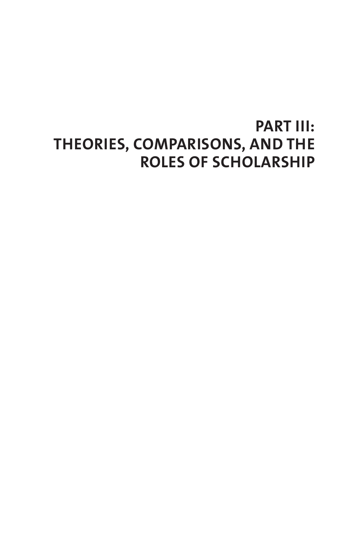# **PART III: THEORIES, COMPARISONS, AND THE ROLES OF SCHOLARSHIP**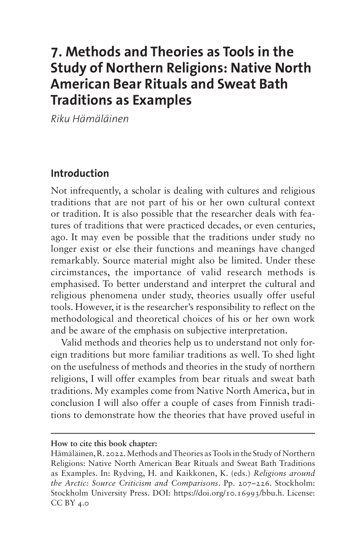# **7. Methods and Theories as Tools in the Study of Northern Religions: Native North American Bear Rituals and Sweat Bath Traditions as Examples**

*Riku Hämäläinen*

### **Introduction**

Not infrequently, a scholar is dealing with cultures and religious traditions that are not part of his or her own cultural context or tradition. It is also possible that the researcher deals with features of traditions that were practiced decades, or even centuries, ago. It may even be possible that the traditions under study no longer exist or else their functions and meanings have changed remarkably. Source material might also be limited. Under these circimstances, the importance of valid research methods is emphasised. To better understand and interpret the cultural and religious phenomena under study, theories usually offer useful tools. However, it is the researcher's responsibility to reflect on the methodological and theoretical choices of his or her own work and be aware of the emphasis on subjective interpretation.

Valid methods and theories help us to understand not only foreign traditions but more familiar traditions as well. To shed light on the usefulness of methods and theories in the study of northern religions, I will offer examples from bear rituals and sweat bath traditions. My examples come from Native North America, but in conclusion I will also offer a couple of cases from Finnish traditions to demonstrate how the theories that have proved useful in

**How to cite this book chapter:**

Hämäläinen, R. 2022. Methods and Theories as Tools in the Study of Northern Religions: Native North American Bear Rituals and Sweat Bath Traditions as Examples. In: Rydving, H. and Kaikkonen, K. (eds.) *Religions around the Arctic: Source Criticism and Comparisons*. Pp. 207–226. Stockholm: Stockholm University Press. DOI: [https://doi.org/10.16993/bbu.h.](https://doi.org/10.16993/bbu.h) License: CC BY 4.0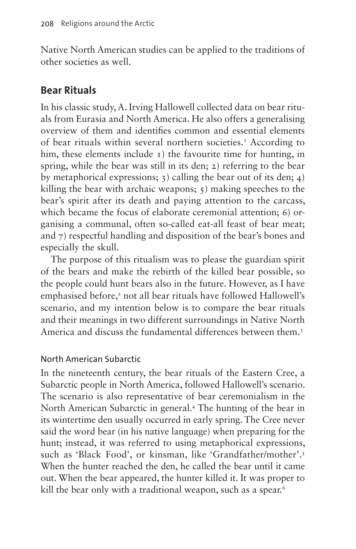Native North American studies can be applied to the traditions of other societies as well.

# **Bear Rituals**

In his classic study, A. Irving Hallowell collected data on bear rituals from Eurasia and North America. He also offers a generalising overview of them and identifies common and essential elements of bear rituals within several northern societies.<sup>[1](#page-14-0)</sup> According to him, these elements include 1) the favourite time for hunting, in spring, while the bear was still in its den; 2) referring to the bear by metaphorical expressions; 3) calling the bear out of its den; 4) killing the bear with archaic weapons; 5) making speeches to the bear's spirit after its death and paying attention to the carcass, which became the focus of elaborate ceremonial attention; 6) organising a communal, often so-called eat-all feast of bear meat; and 7) respectful handling and disposition of the bear's bones and especially the skull.

The purpose of this ritualism was to please the guardian spirit of the bears and make the rebirth of the killed bear possible, so the people could hunt bears also in the future. However, as I have emphasised before,<sup>[2](#page-14-1)</sup> not all bear rituals have followed Hallowell's scenario, and my intention below is to compare the bear rituals and their meanings in two different surroundings in Native North America and discuss the fundamental differences between them.[3](#page-14-2)

### North American Subarctic

In the nineteenth century, the bear rituals of the Eastern Cree, a Subarctic people in North America, followed Hallowell's scenario. The scenario is also representative of bear ceremonialism in the North American Subarctic in general[.4](#page-14-3) The hunting of the bear in its wintertime den usually occurred in early spring. The Cree never said the word bear (in his native language) when preparing for the hunt; instead, it was referred to using metaphorical expressions, such as 'Black Food', or kinsman, like 'Grandfather/mother'.<sup>[5](#page-15-0)</sup> When the hunter reached the den, he called the bear until it came out. When the bear appeared, the hunter killed it. It was proper to kill the bear only with a traditional weapon, such as a spear.<sup>[6](#page-15-1)</sup>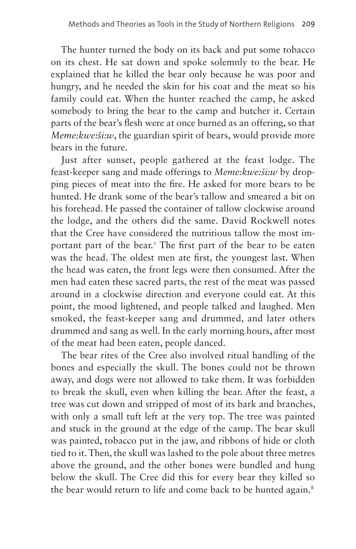The hunter turned the body on its back and put some tobacco on its chest. He sat down and spoke solemnly to the bear. He explained that he killed the bear only because he was poor and hungry, and he needed the skin for his coat and the meat so his family could eat. When the hunter reached the camp, he asked somebody to bring the bear to the camp and butcher it. Certain parts of the bear's flesh were at once burned as an offering, so that *Meme:kwe:ši:w*, the guardian spirit of bears, would provide more bears in the future.

Just after sunset, people gathered at the feast lodge. The feast-keeper sang and made offerings to *Meme:kwe:ši:w* by dropping pieces of meat into the fire. He asked for more bears to be hunted. He drank some of the bear's tallow and smeared a bit on his forehead. He passed the container of tallow clockwise around the lodge, and the others did the same. David Rockwell notes that the Cree have considered the nutritious tallow the most important part of the bear.[7](#page-15-2) The first part of the bear to be eaten was the head. The oldest men ate first, the youngest last. When the head was eaten, the front legs were then consumed. After the men had eaten these sacred parts, the rest of the meat was passed around in a clockwise direction and everyone could eat. At this point, the mood lightened, and people talked and laughed. Men smoked, the feast-keeper sang and drummed, and later others drummed and sang as well. In the early morning hours, after most of the meat had been eaten, people danced.

The bear rites of the Cree also involved ritual handling of the bones and especially the skull. The bones could not be thrown away, and dogs were not allowed to take them. It was forbidden to break the skull, even when killing the bear. After the feast, a tree was cut down and stripped of most of its bark and branches, with only a small tuft left at the very top. The tree was painted and stuck in the ground at the edge of the camp. The bear skull was painted, tobacco put in the jaw, and ribbons of hide or cloth tied to it. Then, the skull was lashed to the pole about three metres above the ground, and the other bones were bundled and hung below the skull. The Cree did this for every bear they killed so the bear would return to life and come back to be hunted again.<sup>[8](#page-15-3)</sup>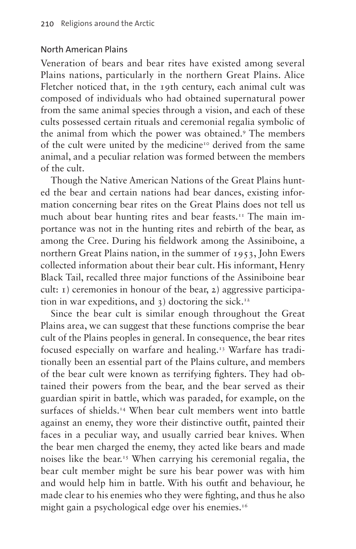#### North American Plains

Veneration of bears and bear rites have existed among several Plains nations, particularly in the northern Great Plains. Alice Fletcher noticed that, in the 19th century, each animal cult was composed of individuals who had obtained supernatural power from the same animal species through a vision, and each of these cults possessed certain rituals and ceremonial regalia symbolic of the animal from which the power was obtained.[9](#page-15-4) The members of the cult were united by the medicine<sup>[10](#page-15-5)</sup> derived from the same animal, and a peculiar relation was formed between the members of the cult.

Though the Native American Nations of the Great Plains hunted the bear and certain nations had bear dances, existing information concerning bear rites on the Great Plains does not tell us much about bear hunting rites and bear feasts.<sup>11</sup> The main importance was not in the hunting rites and rebirth of the bear, as among the Cree. During his fieldwork among the Assiniboine, a northern Great Plains nation, in the summer of 1953, John Ewers collected information about their bear cult. His informant, Henry Black Tail, recalled three major functions of the Assiniboine bear cult:  $\iota$ ) ceremonies in honour of the bear,  $\iota$ ) aggressive participation in war expeditions, and  $\alpha$ ) doctoring the sick.<sup>[12](#page-15-7)</sup>

Since the bear cult is similar enough throughout the Great Plains area, we can suggest that these functions comprise the bear cult of the Plains peoples in general. In consequence, the bear rites focused especially on warfare and healing[.13](#page-15-8) Warfare has traditionally been an essential part of the Plains culture, and members of the bear cult were known as terrifying fighters. They had obtained their powers from the bear, and the bear served as their guardian spirit in battle, which was paraded, for example, on the surfaces of shields.<sup>14</sup> When bear cult members went into battle against an enemy, they wore their distinctive outfit, painted their faces in a peculiar way, and usually carried bear knives. When the bear men charged the enemy, they acted like bears and made noises like the bear.[15](#page-15-10) When carrying his ceremonial regalia, the bear cult member might be sure his bear power was with him and would help him in battle. With his outfit and behaviour, he made clear to his enemies who they were fighting, and thus he also might gain a psychological edge over his enemies.<sup>16</sup>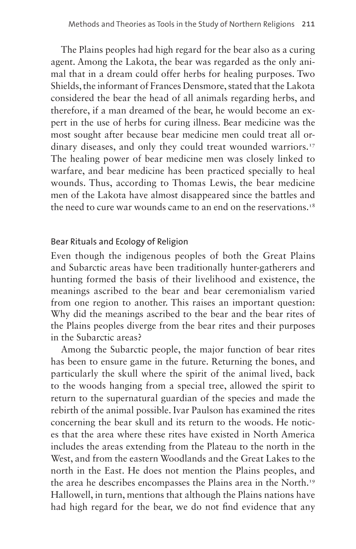The Plains peoples had high regard for the bear also as a curing agent. Among the Lakota, the bear was regarded as the only animal that in a dream could offer herbs for healing purposes. Two Shields, the informant of Frances Densmore, stated that the Lakota considered the bear the head of all animals regarding herbs, and therefore, if a man dreamed of the bear, he would become an expert in the use of herbs for curing illness. Bear medicine was the most sought after because bear medicine men could treat all or-dinary diseases, and only they could treat wounded warriors.<sup>[17](#page-15-12)</sup> The healing power of bear medicine men was closely linked to warfare, and bear medicine has been practiced specially to heal wounds. Thus, according to Thomas Lewis, the bear medicine men of the Lakota have almost disappeared since the battles and the need to cure war wounds came to an end on the reservations.<sup>[18](#page-15-13)</sup>

#### Bear Rituals and Ecology of Religion

Even though the indigenous peoples of both the Great Plains and Subarctic areas have been traditionally hunter-gatherers and hunting formed the basis of their livelihood and existence, the meanings ascribed to the bear and bear ceremonialism varied from one region to another. This raises an important question: Why did the meanings ascribed to the bear and the bear rites of the Plains peoples diverge from the bear rites and their purposes in the Subarctic areas?

Among the Subarctic people, the major function of bear rites has been to ensure game in the future. Returning the bones, and particularly the skull where the spirit of the animal lived, back to the woods hanging from a special tree, allowed the spirit to return to the supernatural guardian of the species and made the rebirth of the animal possible. Ivar Paulson has examined the rites concerning the bear skull and its return to the woods. He notices that the area where these rites have existed in North America includes the areas extending from the Plateau to the north in the West, and from the eastern Woodlands and the Great Lakes to the north in the East. He does not mention the Plains peoples, and the area he describes encompasses the Plains area in the North.<sup>[19](#page-15-14)</sup> Hallowell, in turn, mentions that although the Plains nations have had high regard for the bear, we do not find evidence that any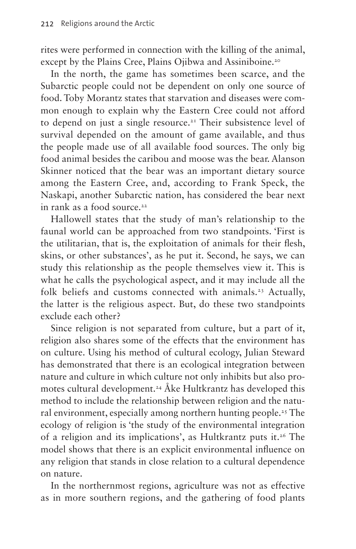rites were performed in connection with the killing of the animal, except by the Plains Cree, Plains Ojibwa and Assiniboine.<sup>[20](#page-15-15)</sup>

In the north, the game has sometimes been scarce, and the Subarctic people could not be dependent on only one source of food. Toby Morantz states that starvation and diseases were common enough to explain why the Eastern Cree could not afford to depend on just a single resource.<sup>21</sup> Their subsistence level of survival depended on the amount of game available, and thus the people made use of all available food sources. The only big food animal besides the caribou and moose was the bear. Alanson Skinner noticed that the bear was an important dietary source among the Eastern Cree, and, according to Frank Speck, the Naskapi, another Subarctic nation, has considered the bear next in rank as a food source.<sup>22</sup>

Hallowell states that the study of man's relationship to the faunal world can be approached from two standpoints. 'First is the utilitarian, that is, the exploitation of animals for their flesh, skins, or other substances', as he put it. Second, he says, we can study this relationship as the people themselves view it. This is what he calls the psychological aspect, and it may include all the folk beliefs and customs connected with animals.<sup>23</sup> Actually, the latter is the religious aspect. But, do these two standpoints exclude each other?

Since religion is not separated from culture, but a part of it, religion also shares some of the effects that the environment has on culture. Using his method of cultural ecology, Julian Steward has demonstrated that there is an ecological integration between nature and culture in which culture not only inhibits but also promotes cultural development.<sup>24</sup> Åke Hultkrantz has developed this method to include the relationship between religion and the natural environment, especially among northern hunting people.<sup>25</sup> The ecology of religion is 'the study of the environmental integration of a religion and its implications', as Hultkrantz puts it.[26](#page-15-21) The model shows that there is an explicit environmental influence on any religion that stands in close relation to a cultural dependence on nature.

In the northernmost regions, agriculture was not as effective as in more southern regions, and the gathering of food plants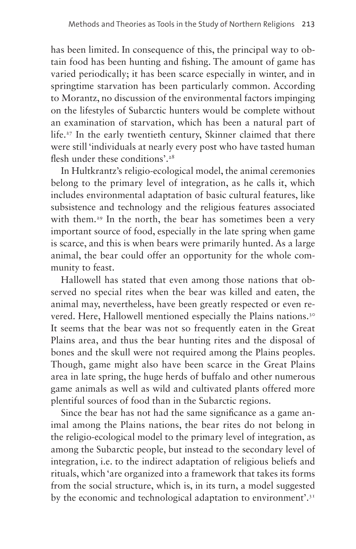has been limited. In consequence of this, the principal way to obtain food has been hunting and fishing. The amount of game has varied periodically; it has been scarce especially in winter, and in springtime starvation has been particularly common. According to Morantz, no discussion of the environmental factors impinging on the lifestyles of Subarctic hunters would be complete without an examination of starvation, which has been a natural part of life.<sup>27</sup> In the early twentieth century, Skinner claimed that there were still 'individuals at nearly every post who have tasted human flesh under these conditions'.<sup>[28](#page-16-1)</sup>

In Hultkrantz's religio-ecological model, the animal ceremonies belong to the primary level of integration, as he calls it, which includes environmental adaptation of basic cultural features, like subsistence and technology and the religious features associated with them.<sup>29</sup> In the north, the bear has sometimes been a very important source of food, especially in the late spring when game is scarce, and this is when bears were primarily hunted. As a large animal, the bear could offer an opportunity for the whole community to feast.

Hallowell has stated that even among those nations that observed no special rites when the bear was killed and eaten, the animal may, nevertheless, have been greatly respected or even re-vered. Here, Hallowell mentioned especially the Plains nations.<sup>[30](#page-16-3)</sup> It seems that the bear was not so frequently eaten in the Great Plains area, and thus the bear hunting rites and the disposal of bones and the skull were not required among the Plains peoples. Though, game might also have been scarce in the Great Plains area in late spring, the huge herds of buffalo and other numerous game animals as well as wild and cultivated plants offered more plentiful sources of food than in the Subarctic regions.

Since the bear has not had the same significance as a game animal among the Plains nations, the bear rites do not belong in the religio-ecological model to the primary level of integration, as among the Subarctic people, but instead to the secondary level of integration, i.e. to the indirect adaptation of religious beliefs and rituals, which 'are organized into a framework that takes its forms from the social structure, which is, in its turn, a model suggested by the economic and technological adaptation to environment'.<sup>[31](#page-16-4)</sup>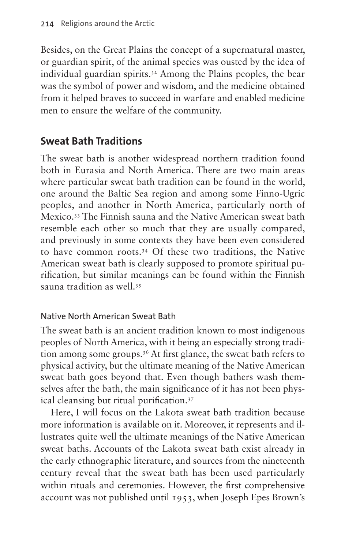Besides, on the Great Plains the concept of a supernatural master, or guardian spirit, of the animal species was ousted by the idea of individual guardian spirits[.32](#page-16-5) Among the Plains peoples, the bear was the symbol of power and wisdom, and the medicine obtained from it helped braves to succeed in warfare and enabled medicine men to ensure the welfare of the community.

# **Sweat Bath Traditions**

The sweat bath is another widespread northern tradition found both in Eurasia and North America. There are two main areas where particular sweat bath tradition can be found in the world, one around the Baltic Sea region and among some Finno-Ugric peoples, and another in North America, particularly north of Mexico.[33](#page-16-6) The Finnish sauna and the Native American sweat bath resemble each other so much that they are usually compared, and previously in some contexts they have been even considered to have common roots[.34](#page-16-7) Of these two traditions, the Native American sweat bath is clearly supposed to promote spiritual purification, but similar meanings can be found within the Finnish sauna tradition as well.[35](#page-16-8)

### Native North American Sweat Bath

The sweat bath is an ancient tradition known to most indigenous peoples of North America, with it being an especially strong tradition among some groups.<sup>36</sup> At first glance, the sweat bath refers to physical activity, but the ultimate meaning of the Native American sweat bath goes beyond that. Even though bathers wash themselves after the bath, the main significance of it has not been physical cleansing but ritual purification[.37](#page-16-10)

Here, I will focus on the Lakota sweat bath tradition because more information is available on it. Moreover, it represents and illustrates quite well the ultimate meanings of the Native American sweat baths. Accounts of the Lakota sweat bath exist already in the early ethnographic literature, and sources from the nineteenth century reveal that the sweat bath has been used particularly within rituals and ceremonies. However, the first comprehensive account was not published until 1953, when Joseph Epes Brown's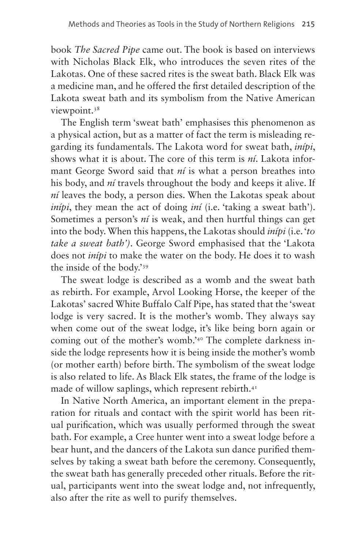book *The Sacred Pipe* came out. The book is based on interviews with Nicholas Black Elk, who introduces the seven rites of the Lakotas. One of these sacred rites is the sweat bath. Black Elk was a medicine man, and he offered the first detailed description of the Lakota sweat bath and its symbolism from the Native American viewpoint.<sup>[38](#page-16-11)</sup>

The English term 'sweat bath' emphasises this phenomenon as a physical action, but as a matter of fact the term is misleading regarding its fundamentals. The Lakota word for sweat bath, *inípi*, shows what it is about. The core of this term is *ní*. Lakota informant George Sword said that *ní* is what a person breathes into his body, and *ní* travels throughout the body and keeps it alive. If *ní* leaves the body, a person dies. When the Lakotas speak about *inípi*, they mean the act of doing *iní* (i.e. 'taking a sweat bath'). Sometimes a person's *ní* is weak, and then hurtful things can get into the body. When this happens, the Lakotas should *inípi* (i.e. '*to take a sweat bath')*. George Sword emphasised that the 'Lakota does not *inípi* to make the water on the body. He does it to wash the inside of the body.'[39](#page-16-12)

The sweat lodge is described as a womb and the sweat bath as rebirth. For example, Arvol Looking Horse, the keeper of the Lakotas' sacred White Buffalo Calf Pipe, has stated that the 'sweat lodge is very sacred. It is the mother's womb. They always say when come out of the sweat lodge, it's like being born again or coming out of the mother's womb.'[40](#page-16-13) The complete darkness inside the lodge represents how it is being inside the mother's womb (or mother earth) before birth. The symbolism of the sweat lodge is also related to life. As Black Elk states, the frame of the lodge is made of willow saplings, which represent rebirth.<sup>41</sup>

In Native North America, an important element in the preparation for rituals and contact with the spirit world has been ritual purification, which was usually performed through the sweat bath. For example, a Cree hunter went into a sweat lodge before a bear hunt, and the dancers of the Lakota sun dance purified themselves by taking a sweat bath before the ceremony. Consequently, the sweat bath has generally preceded other rituals. Before the ritual, participants went into the sweat lodge and, not infrequently, also after the rite as well to purify themselves.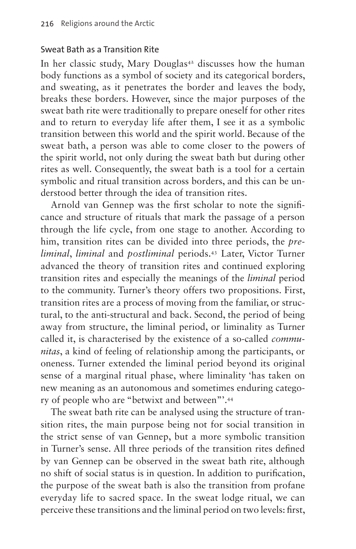#### Sweat Bath as a Transition Rite

In her classic study, Mary Douglas<sup>[42](#page-16-15)</sup> discusses how the human body functions as a symbol of society and its categorical borders, and sweating, as it penetrates the border and leaves the body, breaks these borders. However, since the major purposes of the sweat bath rite were traditionally to prepare oneself for other rites and to return to everyday life after them, I see it as a symbolic transition between this world and the spirit world. Because of the sweat bath, a person was able to come closer to the powers of the spirit world, not only during the sweat bath but during other rites as well. Consequently, the sweat bath is a tool for a certain symbolic and ritual transition across borders, and this can be understood better through the idea of transition rites.

Arnold van Gennep was the first scholar to note the significance and structure of rituals that mark the passage of a person through the life cycle, from one stage to another. According to him, transition rites can be divided into three periods, the *preliminal*, *liminal* and *postliminal* periods.[43](#page-16-16) Later, Victor Turner advanced the theory of transition rites and continued exploring transition rites and especially the meanings of the *liminal* period to the community. Turner's theory offers two propositions. First, transition rites are a process of moving from the familiar, or structural, to the anti-structural and back. Second, the period of being away from structure, the liminal period, or liminality as Turner called it, is characterised by the existence of a so-called *communitas*, a kind of feeling of relationship among the participants, or oneness. Turner extended the liminal period beyond its original sense of a marginal ritual phase, where liminality 'has taken on new meaning as an autonomous and sometimes enduring category of people who are "betwixt and between"'[.44](#page-16-17)

The sweat bath rite can be analysed using the structure of transition rites, the main purpose being not for social transition in the strict sense of van Gennep, but a more symbolic transition in Turner's sense. All three periods of the transition rites defined by van Gennep can be observed in the sweat bath rite, although no shift of social status is in question. In addition to purification, the purpose of the sweat bath is also the transition from profane everyday life to sacred space. In the sweat lodge ritual, we can perceive these transitions and the liminal period on two levels: first,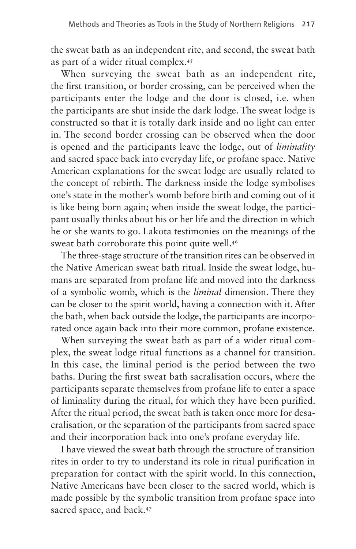the sweat bath as an independent rite, and second, the sweat bath as part of a wider ritual complex[.45](#page-16-18)

When surveying the sweat bath as an independent rite, the first transition, or border crossing, can be perceived when the participants enter the lodge and the door is closed, i.e. when the participants are shut inside the dark lodge. The sweat lodge is constructed so that it is totally dark inside and no light can enter in. The second border crossing can be observed when the door is opened and the participants leave the lodge, out of *liminality* and sacred space back into everyday life, or profane space. Native American explanations for the sweat lodge are usually related to the concept of rebirth. The darkness inside the lodge symbolises one's state in the mother's womb before birth and coming out of it is like being born again; when inside the sweat lodge, the participant usually thinks about his or her life and the direction in which he or she wants to go. Lakota testimonies on the meanings of the sweat bath corroborate this point quite well.<sup>[46](#page-16-19)</sup>

The three-stage structure of the transition rites can be observed in the Native American sweat bath ritual. Inside the sweat lodge, humans are separated from profane life and moved into the darkness of a symbolic womb, which is the *liminal* dimension. There they can be closer to the spirit world, having a connection with it. After the bath, when back outside the lodge, the participants are incorporated once again back into their more common, profane existence.

When surveying the sweat bath as part of a wider ritual complex, the sweat lodge ritual functions as a channel for transition. In this case, the liminal period is the period between the two baths. During the first sweat bath sacralisation occurs, where the participants separate themselves from profane life to enter a space of liminality during the ritual, for which they have been purified. After the ritual period, the sweat bath is taken once more for desacralisation, or the separation of the participants from sacred space and their incorporation back into one's profane everyday life.

I have viewed the sweat bath through the structure of transition rites in order to try to understand its role in ritual purification in preparation for contact with the spirit world. In this connection, Native Americans have been closer to the sacred world, which is made possible by the symbolic transition from profane space into sacred space, and back.<sup>47</sup>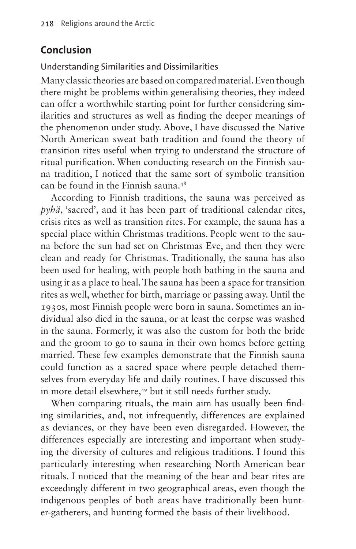# **Conclusion**

Understanding Similarities and Dissimilarities

Many classic theories are based on compared material. Even though there might be problems within generalising theories, they indeed can offer a worthwhile starting point for further considering similarities and structures as well as finding the deeper meanings of the phenomenon under study. Above, I have discussed the Native North American sweat bath tradition and found the theory of transition rites useful when trying to understand the structure of ritual purification. When conducting research on the Finnish sauna tradition, I noticed that the same sort of symbolic transition can be found in the Finnish sauna[.48](#page-16-21)

According to Finnish traditions, the sauna was perceived as *pyhä*, 'sacred', and it has been part of traditional calendar rites, crisis rites as well as transition rites. For example, the sauna has a special place within Christmas traditions. People went to the sauna before the sun had set on Christmas Eve, and then they were clean and ready for Christmas. Traditionally, the sauna has also been used for healing, with people both bathing in the sauna and using it as a place to heal. The sauna has been a space for transition rites as well, whether for birth, marriage or passing away. Until the 1930s, most Finnish people were born in sauna. Sometimes an individual also died in the sauna, or at least the corpse was washed in the sauna. Formerly, it was also the custom for both the bride and the groom to go to sauna in their own homes before getting married. These few examples demonstrate that the Finnish sauna could function as a sacred space where people detached themselves from everyday life and daily routines. I have discussed this in more detail elsewhere,<sup>49</sup> but it still needs further study.

When comparing rituals, the main aim has usually been finding similarities, and, not infrequently, differences are explained as deviances, or they have been even disregarded. However, the differences especially are interesting and important when studying the diversity of cultures and religious traditions. I found this particularly interesting when researching North American bear rituals. I noticed that the meaning of the bear and bear rites are exceedingly different in two geographical areas, even though the indigenous peoples of both areas have traditionally been hunter-gatherers, and hunting formed the basis of their livelihood.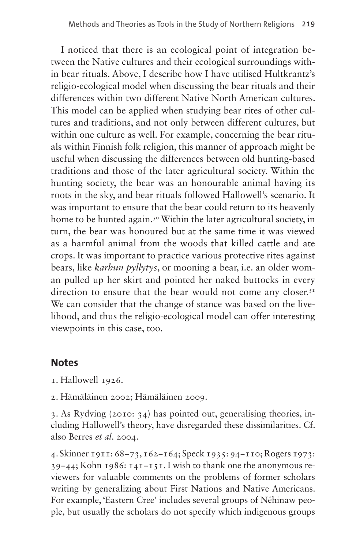I noticed that there is an ecological point of integration between the Native cultures and their ecological surroundings within bear rituals. Above, I describe how I have utilised Hultkrantz's religio-ecological model when discussing the bear rituals and their differences within two different Native North American cultures. This model can be applied when studying bear rites of other cultures and traditions, and not only between different cultures, but within one culture as well. For example, concerning the bear rituals within Finnish folk religion, this manner of approach might be useful when discussing the differences between old hunting-based traditions and those of the later agricultural society. Within the hunting society, the bear was an honourable animal having its roots in the sky, and bear rituals followed Hallowell's scenario. It was important to ensure that the bear could return to its heavenly home to be hunted again.<sup>[50](#page-17-1)</sup> Within the later agricultural society, in turn, the bear was honoured but at the same time it was viewed as a harmful animal from the woods that killed cattle and ate crops. It was important to practice various protective rites against bears, like *karhun pyllytys*, or mooning a bear, i.e. an older woman pulled up her skirt and pointed her naked buttocks in every direction to ensure that the bear would not come any closer. $5<sup>T</sup>$ We can consider that the change of stance was based on the livelihood, and thus the religio-ecological model can offer interesting viewpoints in this case, too.

## **Notes**

<span id="page-14-0"></span>1. Hallowell 1926.

<span id="page-14-1"></span>2. Hämäläinen 2002; Hämäläinen 2009.

<span id="page-14-2"></span>3. As Rydving (2010: 34) has pointed out, generalising theories, including Hallowell's theory, have disregarded these dissimilarities. Cf. also Berres *et al*. 2004.

<span id="page-14-3"></span>4. Skinner 1911: 68−73, 162−164; Speck 1935: 94−110; Rogers 1973: 39−44; Kohn 1986: 141−151. I wish to thank one the anonymous reviewers for valuable comments on the problems of former scholars writing by generalizing about First Nations and Native Americans. For example, 'Eastern Cree' includes several groups of Néhinaw people, but usually the scholars do not specify which indigenous groups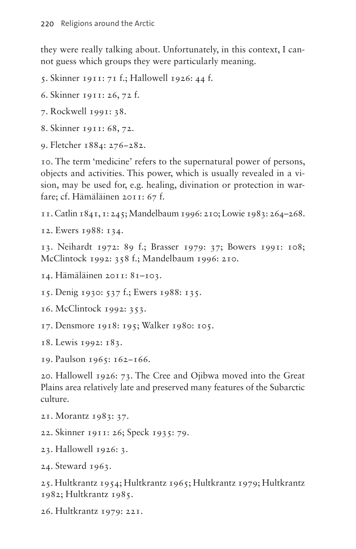they were really talking about. Unfortunately, in this context, I cannot guess which groups they were particularly meaning.

<span id="page-15-0"></span>5. Skinner 1911: 71 f.; Hallowell 1926: 44 f.

- <span id="page-15-1"></span>6. Skinner 1911: 26, 72 f.
- <span id="page-15-2"></span>7. Rockwell 1991: 38.
- <span id="page-15-3"></span>8. Skinner 1911: 68, 72.
- <span id="page-15-4"></span>9. Fletcher 1884: 276−282.

<span id="page-15-5"></span>10. The term 'medicine' refers to the supernatural power of persons, objects and activities. This power, which is usually revealed in a vision, may be used for, e.g. healing, divination or protection in warfare; cf. Hämäläinen 2011: 67 f.

<span id="page-15-6"></span>11. Catlin 1841, 1: 245; Mandelbaum 1996: 210; Lowie 1983: 264–268.

<span id="page-15-7"></span>12. Ewers 1988: 134.

<span id="page-15-8"></span>13. Neihardt 1972: 89 f.; Brasser 1979: 37; Bowers 1991: 108; McClintock 1992: 358 f.; Mandelbaum 1996: 210.

<span id="page-15-9"></span>14. Hämäläinen 2011: 81–103.

<span id="page-15-10"></span>15. Denig 1930: 537 f.; Ewers 1988: 135.

<span id="page-15-11"></span>16. McClintock 1992: 353.

<span id="page-15-12"></span>17. Densmore 1918: 195; Walker 1980: 105.

<span id="page-15-13"></span>18. Lewis 1992: 183.

<span id="page-15-14"></span>19. Paulson 1965: 162−166.

<span id="page-15-15"></span>20. Hallowell 1926: 73. The Cree and Ojibwa moved into the Great Plains area relatively late and preserved many features of the Subarctic culture.

- <span id="page-15-16"></span>21. Morantz 1983: 37.
- <span id="page-15-17"></span>22. Skinner 1911: 26; Speck 1935: 79.
- <span id="page-15-18"></span>23. Hallowell 1926: 3.

<span id="page-15-19"></span>24. Steward 1963.

<span id="page-15-20"></span>25. Hultkrantz 1954; Hultkrantz 1965; Hultkrantz 1979; Hultkrantz 1982; Hultkrantz 1985.

<span id="page-15-21"></span>26. Hultkrantz 1979: 221.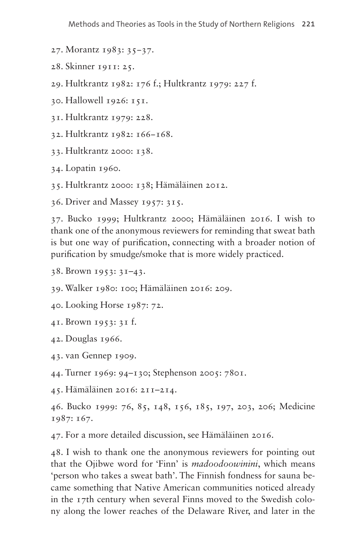- <span id="page-16-0"></span>27. Morantz 1983: 35−37.
- <span id="page-16-1"></span>28. Skinner 1911: 25.
- <span id="page-16-2"></span>29. Hultkrantz 1982: 176 f.; Hultkrantz 1979: 227 f.
- <span id="page-16-3"></span>30. Hallowell 1926: 151.
- <span id="page-16-4"></span>31. Hultkrantz 1979: 228.
- <span id="page-16-5"></span>32. Hultkrantz 1982: 166−168.
- <span id="page-16-6"></span>33. Hultkrantz 2000: 138.
- <span id="page-16-7"></span>34. Lopatin 1960.
- <span id="page-16-8"></span>35. Hultkrantz 2000: 138; Hämäläinen 2012.
- <span id="page-16-9"></span>36. Driver and Massey 1957: 315.

<span id="page-16-10"></span>37. Bucko 1999; Hultkrantz 2000; Hämäläinen 2016. I wish to thank one of the anonymous reviewers for reminding that sweat bath is but one way of purification, connecting with a broader notion of purification by smudge/smoke that is more widely practiced.

- <span id="page-16-11"></span>38. Brown 1953: 31–43.
- <span id="page-16-12"></span>39. Walker 1980: 100; Hämäläinen 2016: 209.
- <span id="page-16-13"></span>40. Looking Horse 1987: 72.
- <span id="page-16-14"></span>41. Brown 1953: 31 f.
- <span id="page-16-15"></span>42. Douglas 1966.
- <span id="page-16-16"></span>43. van Gennep 1909.
- <span id="page-16-17"></span>44. Turner 1969: 94–130; Stephenson 2005: 7801.
- <span id="page-16-18"></span>45. Hämäläinen 2016: 211–214.

<span id="page-16-19"></span>46. Bucko 1999: 76, 85, 148, 156, 185, 197, 203, 206; Medicine 1987: 167.

<span id="page-16-20"></span>47. For a more detailed discussion, see Hämäläinen 2016.

<span id="page-16-21"></span>48. I wish to thank one the anonymous reviewers for pointing out that the Ojibwe word for 'Finn' is *madoodoowinini*, which means 'person who takes a sweat bath'. The Finnish fondness for sauna became something that Native American communities noticed already in the 17th century when several Finns moved to the Swedish colony along the lower reaches of the Delaware River, and later in the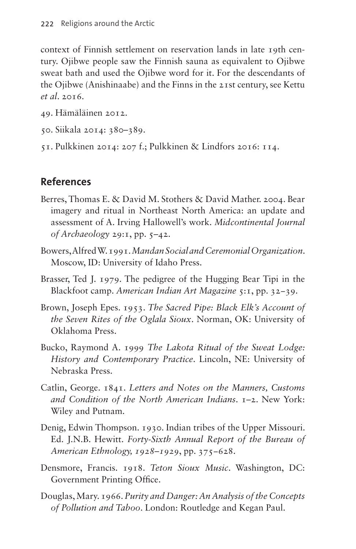context of Finnish settlement on reservation lands in late 19th century. Ojibwe people saw the Finnish sauna as equivalent to Ojibwe sweat bath and used the Ojibwe word for it. For the descendants of the Ojibwe (Anishinaabe) and the Finns in the 21st century, see Kettu *et al*. 2016.

- <span id="page-17-0"></span>49. Hämäläinen 2012.
- <span id="page-17-1"></span>50. Siikala 2014: 380–389.
- <span id="page-17-2"></span>51. Pulkkinen 2014: 207 f.; Pulkkinen & Lindfors 2016: 114.

## **References**

- Berres, Thomas E. & David M. Stothers & David Mather. 2004. Bear imagery and ritual in Northeast North America: an update and assessment of A. Irving Hallowell's work. *Midcontinental Journal of Archaeology* 29:1, pp. 5–42.
- Bowers, Alfred W. 1991. *Mandan Social and Ceremonial Organization*. Moscow, ID: University of Idaho Press.
- Brasser, Ted J. 1979. The pedigree of the Hugging Bear Tipi in the Blackfoot camp. *American Indian Art Magazine* 5:1, pp. 32−39.
- Brown, Joseph Epes. 1953. *The Sacred Pipe: Black Elk's Account of the Seven Rites of the Oglala Sioux*. Norman, OK: University of Oklahoma Press.
- Bucko, Raymond A. 1999 *The Lakota Ritual of the Sweat Lodge: History and Contemporary Practice*. Lincoln, NE: University of Nebraska Press.
- Catlin, George. 1841. *Letters and Notes on the Manners, Customs and Condition of the North American Indians*. 1–2. New York: Wiley and Putnam.
- Denig, Edwin Thompson. 1930. Indian tribes of the Upper Missouri. Ed. J.N.B. Hewitt. *Forty-Sixth Annual Report of the Bureau of American Ethnology, 1928–1929*, pp. 375−628.
- Densmore, Francis. 1918. *Teton Sioux Music*. Washington, DC: Government Printing Office.
- Douglas, Mary. 1966. *Purity and Danger: An Analysis of the Concepts of Pollution and Taboo*. London: Routledge and Kegan Paul.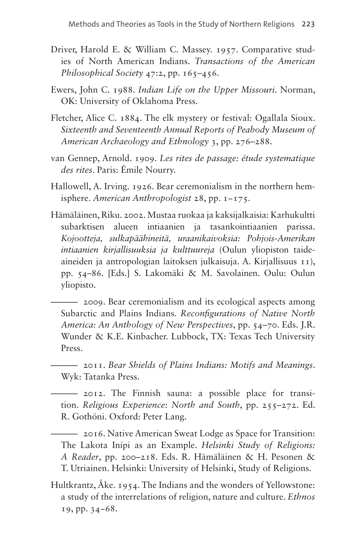- Driver, Harold E. & William C. Massey. 1957. Comparative studies of North American Indians. *Transactions of the American Philosophical Society* 47:2, pp. 165–456.
- Ewers, John C. 1988. *Indian Life on the Upper Missouri*. Norman, OK: University of Oklahoma Press.
- Fletcher, Alice C. 1884. The elk mystery or festival: Ogallala Sioux. *Sixteenth and Seventeenth Annual Reports of Peabody Museum of American Archaeology and Ethnology* 3, pp. 276–288.
- van Gennep, Arnold. 1909. *Les rites de passage: étude systematique des rites*. Paris: Émile Nourry.
- Hallowell, A. Irving. 1926. Bear ceremonialism in the northern hemisphere. *American Anthropologist* 28, pp. 1−175.
- Hämäläinen, Riku. 2002. Mustaa ruokaa ja kaksijalkaisia: Karhukultti subarktisen alueen intiaanien ja tasankointiaanien parissa. *Kojootteja, sulkapäähineitä, uraanikaivoksia: Pohjois-Amerikan intiaanien kirjallisuuksia ja kulttuureja* (Oulun yliopiston taideaineiden ja antropologian laitoksen julkaisuja. A. Kirjallisuus 11), pp. 54–86. [Eds.] S. Lakomäki & M. Savolainen. Oulu: Oulun yliopisto.

——— 2009. Bear ceremonialism and its ecological aspects among Subarctic and Plains Indians. *Reconfigurations of Native North America: An Anthology of New Perspectives*, pp. 54–70. Eds. J.R. Wunder & K.E. Kinbacher. Lubbock, TX: Texas Tech University Press.

- ——— 2011. *Bear Shields of Plains Indians: Motifs and Meanings*. Wyk: Tatanka Press.
- ——— 2012. The Finnish sauna: a possible place for transition. *Religious Experience: North and South*, pp. 255–272. Ed. R. Gothóni. Oxford: Peter Lang.
- ——— 2016. Native American Sweat Lodge as Space for Transition: The Lakota Inípi as an Example. *Helsinki Study of Religions: A Reader*, pp. 200–218. Eds. R. Hämäläinen & H. Pesonen & T. Utriainen. Helsinki: University of Helsinki, Study of Religions.
- Hultkrantz, Åke. 1954. The Indians and the wonders of Yellowstone: a study of the interrelations of religion, nature and culture. *Ethnos* 19, pp. 34−68.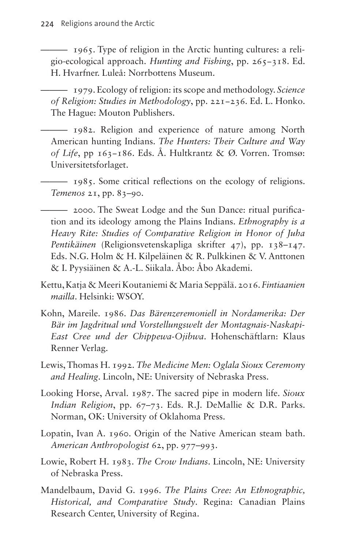——— 1965. Type of religion in the Arctic hunting cultures: a religio-ecological approach. *Hunting and Fishing*, pp. 265−318. Ed. H. Hvarfner. Luleå: Norrbottens Museum.

——— 1979. Ecology of religion: its scope and methodology. *Science of Religion: Studies in Methodology*, pp. 221−236. Ed. L. Honko. The Hague: Mouton Publishers.

——— 1982. Religion and experience of nature among North American hunting Indians. *The Hunters: Their Culture and Way of Life*, pp 163−186. Eds. Å. Hultkrantz & Ø. Vorren. Tromsø: Universitetsforlaget.

——— 1985. Some critical reflections on the ecology of religions. *Temenos* 21, pp. 83–90.

——— 2000. The Sweat Lodge and the Sun Dance: ritual purification and its ideology among the Plains Indians. *Ethnography is a Heavy Rite: Studies of Comparative Religion in Honor of Juha Pentikäinen* (Religionsvetenskapliga skrifter 47), pp. 138–147. Eds. N.G. Holm & H. Kilpeläinen & R. Pulkkinen & V. Anttonen & I. Pyysiäinen & A.-L. Siikala. Åbo: Åbo Akademi.

- Kettu, Katja & Meeri Koutaniemi & Maria Seppälä. 2016. *Fintiaanien mailla*. Helsinki: WSOY.
- Kohn, Mareile. 1986. *Das Bärenzeremoniell in Nordamerika: Der Bär im Jagdritual und Vorstellungswelt der Montagnais-Naskapi-East Cree und der Chippewa-Ojibwa*. Hohenschäftlarn: Klaus Renner Verlag.
- Lewis, Thomas H. 1992. *The Medicine Men: Oglala Sioux Ceremony and Healing*. Lincoln, NE: University of Nebraska Press.
- Looking Horse, Arval. 1987. The sacred pipe in modern life. *Sioux Indian Religion*, pp. 67–73. Eds. R.J. DeMallie & D.R. Parks. Norman, OK: University of Oklahoma Press.
- Lopatin, Ivan A. 1960. Origin of the Native American steam bath. *American Anthropologist* 62, pp. 977–993.
- Lowie, Robert H. 1983. *The Crow Indians*. Lincoln, NE: University of Nebraska Press.
- Mandelbaum, David G. 1996. *The Plains Cree: An Ethnographic, Historical, and Comparative Study*. Regina: Canadian Plains Research Center, University of Regina.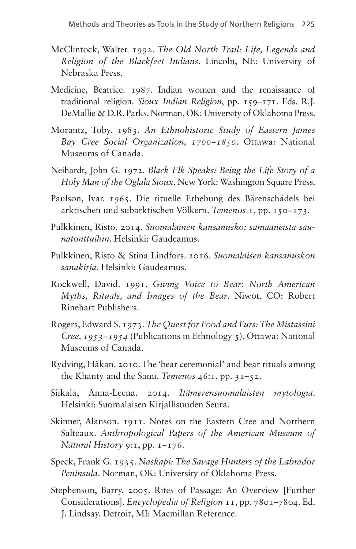- McClintock, Walter. 1992. *The Old North Trail: Life, Legends and Religion of the Blackfeet Indians*. Lincoln, NE: University of Nebraska Press.
- Medicine, Beatrice. 1987. Indian women and the renaissance of traditional religion. *Sioux Indian Religion*, pp. 159–171. Eds. R.J. DeMallie & D.R. Parks. Norman, OK: University of Oklahoma Press.
- Morantz, Toby. 1983. *An Ethnohistoric Study of Eastern James Bay Cree Social Organization, 1700−1850*. Ottawa: National Museums of Canada.
- Neihardt, John G. 1972. *Black Elk Speaks: Being the Life Story of a Holy Man of the Oglala Sioux*. New York: Washington Square Press.
- Paulson, Ivar. 1965. Die rituelle Erhebung des Bärenschädels bei arktischen und subarktischen Völkern. *Temenos* 1, pp. 150−173.
- Pulkkinen, Risto. 2014. *Suomalainen kansanusko: samaaneista saunatonttuihin*. Helsinki: Gaudeamus.
- Pulkkinen, Risto & Stina Lindfors. 2016. *Suomalaisen kansanuskon sanakirja*. Helsinki: Gaudeamus.
- Rockwell, David. 1991. *Giving Voice to Bear: North American Myths, Rituals, and Images of the Bear*. Niwot, CO: Robert Rinehart Publishers.
- Rogers, Edward S. 1973. *The Quest for Food and Furs: The Mistassini Cree, 1953−1954* (Publications in Ethnology 5). Ottawa: National Museums of Canada.
- Rydving, Håkan. 2010. The 'bear ceremonial' and bear rituals among the Khanty and the Sami. *Temenos* 46:1, pp. 31–52.
- Siikala, Anna-Leena. 2014. *Itämerensuomalaisten mytologia*. Helsinki: Suomalaisen Kirjallisuuden Seura.
- Skinner, Alanson. 1911. Notes on the Eastern Cree and Northern Salteaux. *Anthropological Papers of the American Museum of Natural History* 9:1, pp. 1−176.
- Speck, Frank G. 1935. *Naskapi: The Savage Hunters of the Labrador Peninsula*. Norman, OK: University of Oklahoma Press.
- Stephenson, Barry. 2005. Rites of Passage: An Overview [Further Considerations]. *Encyclopedia of Religion* 11, pp. 7801–7804. Ed. J. Lindsay. Detroit, MI: Macmillan Reference.